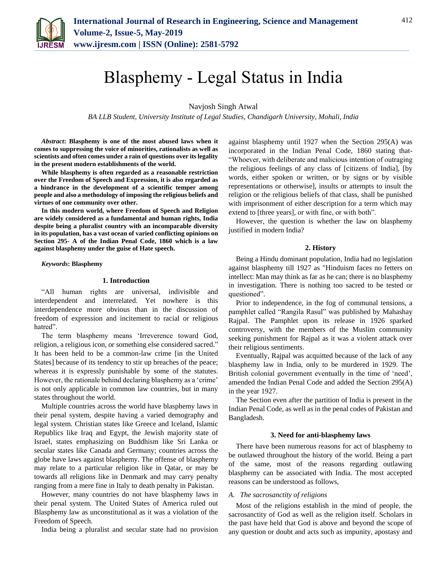

# Blasphemy - Legal Status in India

Navjosh Singh Atwal

*BA LLB Student, University Institute of Legal Studies, Chandigarh University, Mohali, India*

*Abstract***: Blasphemy is one of the most abused laws when it comes to suppressing the voice of minorities, rationalists as well as scientists and often comes under a rain of questions over its legality in the present modern establishments of the world.** 

**While blasphemy is often regarded as a reasonable restriction over the Freedom of Speech and Expression, it is also regarded as a hindrance in the development of a scientific temper among people and also a methodology of imposing the religious beliefs and virtues of one community over other.** 

**In this modern world, where Freedom of Speech and Religion are widely considered as a fundamental and human rights, India despite being a pluralist country with an incomparable diversity in its population, has a vast ocean of varied conflicting opinions on Section 295- A of the Indian Penal Code, 1860 which is a law against blasphemy under the guise of Hate speech.**

*Keywords***: Blasphemy**

#### **1. Introduction**

"All human rights are universal, indivisible and interdependent and interrelated. Yet nowhere is this interdependence more obvious than in the discussion of freedom of expression and incitement to racial or religious hatred".

The term blasphemy means 'Irreverence toward God, religion, a religious icon, or something else considered sacred." It has been held to be a common-law crime [in the United States] because of its tendency to stir up breaches of the peace; whereas it is expressly punishable by some of the statutes. However, the rationale behind declaring blasphemy as a 'crime' is not only applicable in common law countries, but in many states throughout the world.

Multiple countries across the world have blasphemy laws in their penal system, despite having a varied demography and legal system. Christian states like Greece and Iceland, Islamic Republics like Iraq and Egypt, the Jewish majority state of Israel, states emphasizing on Buddhism like Sri Lanka or secular states like Canada and Germany; countries across the globe have laws against blasphemy. The offense of blasphemy may relate to a particular religion like in Qatar, or may be towards all religions like in Denmark and may carry penalty ranging from a mere fine in Italy to death penalty in Pakistan.

However, many countries do not have blasphemy laws in their penal system. The United States of America ruled out Blasphemy law as unconstitutional as it was a violation of the Freedom of Speech.

India being a pluralist and secular state had no provision

against blasphemy until 1927 when the Section 295(A) was incorporated in the Indian Penal Code, 1860 stating that- "Whoever, with deliberate and malicious intention of outraging the religious feelings of any class of [citizens of India], [by words, either spoken or written, or by signs or by visible representations or otherwise], insults or attempts to insult the religion or the religious beliefs of that class, shall be punished with imprisonment of either description for a term which may extend to [three years], or with fine, or with both".

However, the question is whether the law on blasphemy justified in modern India?

#### **2. History**

Being a Hindu dominant population, India had no legislation against blasphemy till 1927 as "Hinduism faces no fetters on intellect: Man may think as far as he can; there is no blasphemy in investigation. There is nothing too sacred to be tested or questioned".

Prior to independence, in the fog of communal tensions, a pamphlet called "Rangila Rasul" was published by Mahashay Rajpal. The Pamphlet upon its release in 1926 sparked controversy, with the members of the Muslim community seeking punishment for Rajpal as it was a violent attack over their religious sentiments.

Eventually, Rajpal was acquitted because of the lack of any blasphemy law in India, only to be murdered in 1929. The British colonial government eventually in the time of 'need', amended the Indian Penal Code and added the Section 295(A) in the year 1927.

The Section even after the partition of India is present in the Indian Penal Code, as well as in the penal codes of Pakistan and Bangladesh.

#### **3. Need for anti-blasphemy laws**

There have been numerous reasons for act of blasphemy to be outlawed throughout the history of the world. Being a part of the same, most of the reasons regarding outlawing blasphemy can be associated with India. The most accepted reasons can be understood as follows,

#### *A. The sacrosanctity of religions*

Most of the religions establish in the mind of people, the sacrosanctity of God as well as the religion itself. Scholars in the past have held that God is above and beyond the scope of any question or doubt and acts such as impunity, apostasy and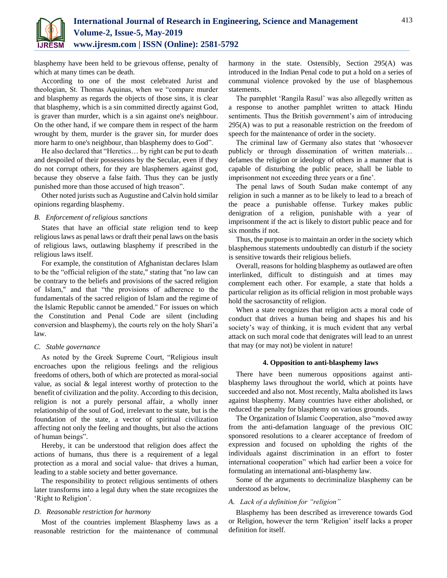

blasphemy have been held to be grievous offense, penalty of which at many times can be death.

According to one of the most celebrated Jurist and theologian, St. Thomas Aquinas, when we "compare murder and blasphemy as regards the objects of those sins, it is clear that blasphemy, which is a sin committed directly against God, is graver than murder, which is a sin against one's neighbour. On the other hand, if we compare them in respect of the harm wrought by them, murder is the graver sin, for murder does more harm to one's neighbour, than blasphemy does to God".

He also declared that "Heretics… by right can be put to death and despoiled of their possessions by the Secular, even if they do not corrupt others, for they are blasphemers against god, because they observe a false faith. Thus they can be justly punished more than those accused of high treason".

Other noted jurists such as Augustine and Calvin hold similar opinions regarding blasphemy.

## *B. Enforcement of religious sanctions*

States that have an official state religion tend to keep religious laws as penal laws or draft their penal laws on the basis of religious laws, outlawing blasphemy if prescribed in the religious laws itself.

For example, the constitution of Afghanistan declares Islam to be the "official religion of the state," stating that "no law can be contrary to the beliefs and provisions of the sacred religion of Islam," and that "the provisions of adherence to the fundamentals of the sacred religion of Islam and the regime of the Islamic Republic cannot be amended." For issues on which the Constitution and Penal Code are silent (including conversion and blasphemy), the courts rely on the holy Shari'a law.

## *C. Stable governance*

As noted by the Greek Supreme Court, "Religious insult encroaches upon the religious feelings and the religious freedoms of others, both of which are protected as moral-social value, as social & legal interest worthy of protection to the benefit of civilization and the polity. According to this decision, religion is not a purely personal affair, a wholly inner relationship of the soul of God, irrelevant to the state, but is the foundation of the state, a vector of spiritual civilization affecting not only the feeling and thoughts, but also the actions of human beings".

Hereby, it can be understood that religion does affect the actions of humans, thus there is a requirement of a legal protection as a moral and social value- that drives a human, leading to a stable society and better governance.

The responsibility to protect religious sentiments of others later transforms into a legal duty when the state recognizes the 'Right to Religion'.

## *D. Reasonable restriction for harmony*

Most of the countries implement Blasphemy laws as a reasonable restriction for the maintenance of communal harmony in the state. Ostensibly, Section 295(A) was introduced in the Indian Penal code to put a hold on a series of communal violence provoked by the use of blasphemous statements.

The pamphlet 'Rangila Rasul' was also allegedly written as a response to another pamphlet written to attack Hindu sentiments. Thus the British government's aim of introducing 295(A) was to put a reasonable restriction on the freedom of speech for the maintenance of order in the society.

The criminal law of Germany also states that 'whosoever publicly or through dissemination of written materials… defames the religion or ideology of others in a manner that is capable of disturbing the public peace, shall be liable to imprisonment not exceeding three years or a fine'.

The penal laws of South Sudan make contempt of any religion in such a manner as to be likely to lead to a breach of the peace a punishable offense. Turkey makes public denigration of a religion, punishable with a year of imprisonment if the act is likely to distort public peace and for six months if not.

Thus, the purpose is to maintain an order in the society which blasphemous statements undoubtedly can disturb if the society is sensitive towards their religious beliefs.

Overall, reasons for holding blasphemy as outlawed are often interlinked, difficult to distinguish and at times may complement each other. For example, a state that holds a particular religion as its official religion in most probable ways hold the sacrosanctity of religion.

When a state recognizes that religion acts a moral code of conduct that drives a human being and shapes his and his society's way of thinking, it is much evident that any verbal attack on such moral code that denigrates will lead to an unrest that may (or may not) be violent in nature!

## **4. Opposition to anti-blasphemy laws**

There have been numerous oppositions against antiblasphemy laws throughout the world, which at points have succeeded and also not. Most recently, Malta abolished its laws against blasphemy. Many countries have either abolished, or reduced the penalty for blasphemy on various grounds.

The Organization of Islamic Cooperation, also "moved away from the anti-defamation language of the previous OIC sponsored resolutions to a clearer acceptance of freedom of expression and focused on upholding the rights of the individuals against discrimination in an effort to foster international cooperation" which had earlier been a voice for formulating an international anti-blasphemy law.

Some of the arguments to decriminalize blasphemy can be understood as below,

## *A. Lack of a definition for "religion"*

Blasphemy has been described as irreverence towards God or Religion, however the term 'Religion' itself lacks a proper definition for itself.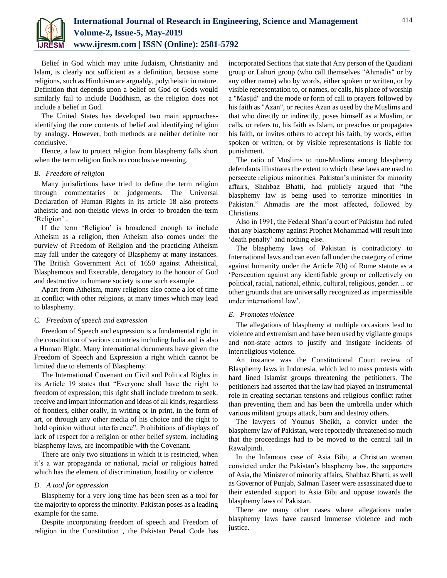

Belief in God which may unite Judaism, Christianity and Islam, is clearly not sufficient as a definition, because some religions, such as Hinduism are arguably, polytheistic in nature. Definition that depends upon a belief on God or Gods would similarly fail to include Buddhism, as the religion does not include a belief in God.

The United States has developed two main approachesidentifying the core contents of belief and identifying religion by analogy. However, both methods are neither definite nor conclusive.

Hence, a law to protect religion from blasphemy falls short when the term religion finds no conclusive meaning.

## *B. Freedom of religion*

Many jurisdictions have tried to define the term religion through commentaries or judgements. The Universal Declaration of Human Rights in its article 18 also protects atheistic and non-theistic views in order to broaden the term 'Religion' .

If the term 'Religion' is broadened enough to include Atheism as a religion, then Atheism also comes under the purview of Freedom of Religion and the practicing Atheism may fall under the category of Blasphemy at many instances. The British Government Act of 1650 against Atheistical, Blasphemous and Execrable, derogatory to the honour of God and destructive to humane society is one such example.

Apart from Atheism, many religions also come a lot of time in conflict with other religions, at many times which may lead to blasphemy.

#### *C. Freedom of speech and expression*

Freedom of Speech and expression is a fundamental right in the constitution of various countries including India and is also a Human Right. Many international documents have given the Freedom of Speech and Expression a right which cannot be limited due to elements of Blasphemy.

The International Covenant on Civil and Political Rights in its Article 19 states that "Everyone shall have the right to freedom of expression; this right shall include freedom to seek, receive and impart information and ideas of all kinds, regardless of frontiers, either orally, in writing or in print, in the form of art, or through any other media of his choice and the right to hold opinion without interference". Prohibitions of displays of lack of respect for a religion or other belief system, including blasphemy laws, are incompatible with the Covenant.

There are only two situations in which it is restricted, when it's a war propaganda or national, racial or religious hatred which has the element of discrimination, hostility or violence.

## *D. A tool for oppression*

Blasphemy for a very long time has been seen as a tool for the majority to oppress the minority. Pakistan poses as a leading example for the same.

Despite incorporating freedom of speech and Freedom of religion in the Constitution , the Pakistan Penal Code has

incorporated Sections that state that Any person of the Qaudiani group or Lahori group (who call themselves "Ahmadis" or by any other name) who by words, either spoken or written, or by visible representation to, or names, or calls, his place of worship a "Masjid" and the mode or form of call to prayers followed by his faith as "Azan", or recites Azan as used by the Muslims and that who directly or indirectly, poses himself as a Muslim, or calls, or refers to, his faith as Islam, or preaches or propagates his faith, or invites others to accept his faith, by words, either spoken or written, or by visible representations is liable for punishment.

The ratio of Muslims to non-Muslims among blasphemy defendants illustrates the extent to which these laws are used to persecute religious minorities. Pakistan's minister for minority affairs, Shahbaz Bhatti, had publicly argued that "the blasphemy law is being used to terrorize minorities in Pakistan." Ahmadis are the most affected, followed by Christians.

Also in 1991, the Federal Shari'a court of Pakistan had ruled that any blasphemy against Prophet Mohammad will result into 'death penalty' and nothing else.

The blasphemy laws of Pakistan is contradictory to International laws and can even fall under the category of crime against humanity under the Article 7(h) of Rome statute as a 'Persecution against any identifiable group or collectively on political, racial, national, ethnic, cultural, religious, gender… or other grounds that are universally recognized as impermissible under international law'.

## *E. Promotes violence*

The allegations of blasphemy at multiple occasions lead to violence and extremism and have been used by vigilante groups and non-state actors to justify and instigate incidents of interreligious violence.

An instance was the Constitutional Court review of Blasphemy laws in Indonesia, which led to mass protests with hard lined Islamist groups threatening the petitioners. The petitioners had asserted that the law had played an instrumental role in creating sectarian tensions and religious conflict rather than preventing them and has been the umbrella under which various militant groups attack, burn and destroy others.

The lawyers of Younus Sheikh, a convict under the blasphemy law of Pakistan, were reportedly threatened so much that the proceedings had to be moved to the central jail in Rawalpindi.

In the Infamous case of Asia Bibi, a Christian woman convicted under the Pakistan's blasphemy law, the supporters of Asia, the Minister of minority affairs, Shahbaz Bhatti, as well as Governor of Punjab, Salman Taseer were assassinated due to their extended support to Asia Bibi and oppose towards the blasphemy laws of Pakistan.

There are many other cases where allegations under blasphemy laws have caused immense violence and mob justice.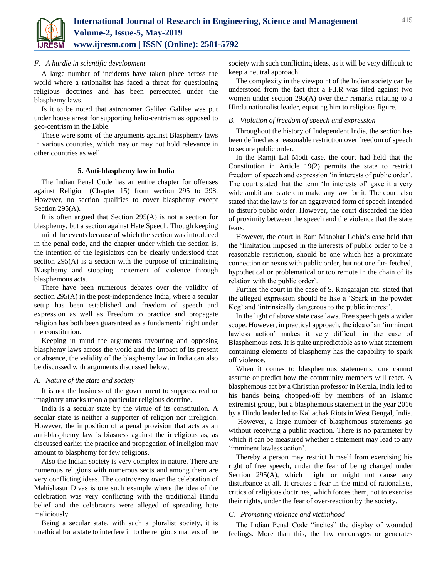

## *F. A hurdle in scientific development*

A large number of incidents have taken place across the world where a rationalist has faced a threat for questioning religious doctrines and has been persecuted under the blasphemy laws.

Is it to be noted that astronomer Galileo Galilee was put under house arrest for supporting helio-centrism as opposed to geo-centrism in the Bible.

These were some of the arguments against Blasphemy laws in various countries, which may or may not hold relevance in other countries as well.

#### **5. Anti-blasphemy law in India**

The Indian Penal Code has an entire chapter for offenses against Religion (Chapter 15) from section 295 to 298. However, no section qualifies to cover blasphemy except Section 295(A).

It is often argued that Section 295(A) is not a section for blasphemy, but a section against Hate Speech. Though keeping in mind the events because of which the section was introduced in the penal code, and the chapter under which the section is, the intention of the legislators can be clearly understood that section 295(A) is a section with the purpose of criminalising Blasphemy and stopping incitement of violence through blasphemous acts.

There have been numerous debates over the validity of section 295(A) in the post-independence India, where a secular setup has been established and freedom of speech and expression as well as Freedom to practice and propagate religion has both been guaranteed as a fundamental right under the constitution.

Keeping in mind the arguments favouring and opposing blasphemy laws across the world and the impact of its present or absence, the validity of the blasphemy law in India can also be discussed with arguments discussed below,

## *A. Nature of the state and society*

It is not the business of the government to suppress real or imaginary attacks upon a particular religious doctrine.

India is a secular state by the virtue of its constitution. A secular state is neither a supporter of religion nor irreligion. However, the imposition of a penal provision that acts as an anti-blasphemy law is biasness against the irreligious as, as discussed earlier the practice and propagation of irreligion may amount to blasphemy for few religions.

Also the Indian society is very complex in nature. There are numerous religions with numerous sects and among them are very conflicting ideas. The controversy over the celebration of Mahishasur Divas is one such example where the idea of the celebration was very conflicting with the traditional Hindu belief and the celebrators were alleged of spreading hate maliciously.

Being a secular state, with such a pluralist society, it is unethical for a state to interfere in to the religious matters of the

society with such conflicting ideas, as it will be very difficult to keep a neutral approach.

The complexity in the viewpoint of the Indian society can be understood from the fact that a F.I.R was filed against two women under section 295(A) over their remarks relating to a Hindu nationalist leader, equating him to religious figure.

### *B. Violation of freedom of speech and expression*

Throughout the history of Independent India, the section has been defined as a reasonable restriction over freedom of speech to secure public order.

In the Ramji Lal Modi case, the court had held that the Constitution in Article 19(2) permits the state to restrict freedom of speech and expression 'in interests of public order'. The court stated that the term 'In interests of' gave it a very wide ambit and state can make any law for it. The court also stated that the law is for an aggravated form of speech intended to disturb public order. However, the court discarded the idea of proximity between the speech and the violence that the state fears.

However, the court in Ram Manohar Lohia's case held that the 'limitation imposed in the interests of public order to be a reasonable restriction, should be one which has a proximate connection or nexus with public order, but not one far- fetched, hypothetical or problematical or too remote in the chain of its relation with the public order'.

Further the court in the case of S. Rangarajan etc. stated that the alleged expression should be like a 'Spark in the powder Keg' and 'intrinsically dangerous to the public interest'.

In the light of above state case laws, Free speech gets a wider scope. However, in practical approach, the idea of an 'imminent lawless action' makes it very difficult in the case of Blasphemous acts. It is quite unpredictable as to what statement containing elements of blasphemy has the capability to spark off violence.

When it comes to blasphemous statements, one cannot assume or predict how the community members will react. A blasphemous act by a Christian professor in Kerala, India led to his hands being chopped-off by members of an Islamic extremist group, but a blasphemous statement in the year 2016 by a Hindu leader led to Kaliachak Riots in West Bengal, India.

However, a large number of blasphemous statements go without receiving a public reaction. There is no parameter by which it can be measured whether a statement may lead to any 'imminent lawless action'.

Thereby a person may restrict himself from exercising his right of free speech, under the fear of being charged under Section 295(A), which might or might not cause any disturbance at all. It creates a fear in the mind of rationalists, critics of religious doctrines, which forces them, not to exercise their rights, under the fear of over-reaction by the society.

#### *C. Promoting violence and victimhood*

The Indian Penal Code "incites" the display of wounded feelings. More than this, the law encourages or generates